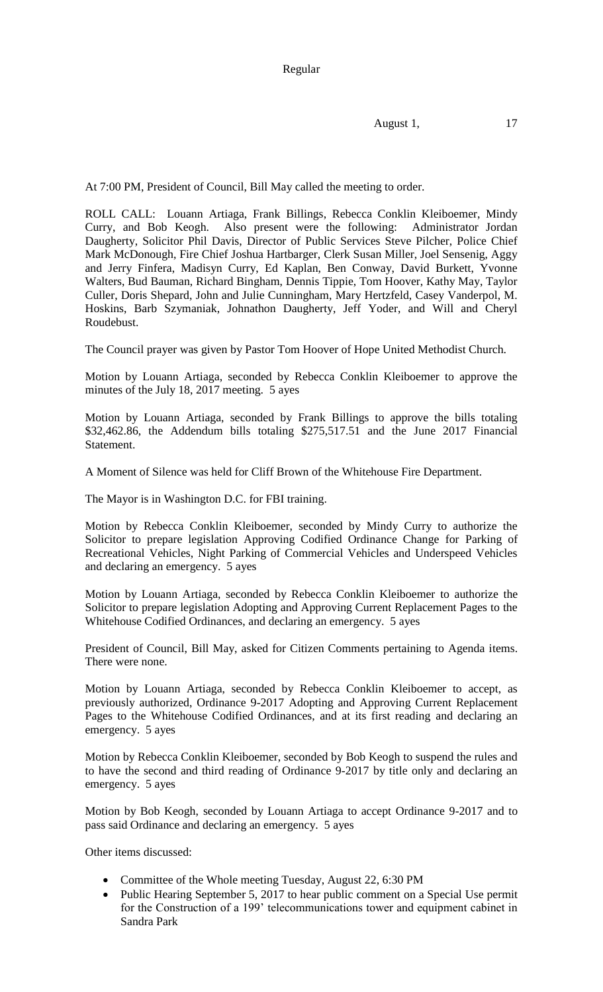Regular

August 1, 17

At 7:00 PM, President of Council, Bill May called the meeting to order.

ROLL CALL: Louann Artiaga, Frank Billings, Rebecca Conklin Kleiboemer, Mindy Curry, and Bob Keogh. Also present were the following: Administrator Jordan Daugherty, Solicitor Phil Davis, Director of Public Services Steve Pilcher, Police Chief Mark McDonough, Fire Chief Joshua Hartbarger, Clerk Susan Miller, Joel Sensenig, Aggy and Jerry Finfera, Madisyn Curry, Ed Kaplan, Ben Conway, David Burkett, Yvonne Walters, Bud Bauman, Richard Bingham, Dennis Tippie, Tom Hoover, Kathy May, Taylor Culler, Doris Shepard, John and Julie Cunningham, Mary Hertzfeld, Casey Vanderpol, M. Hoskins, Barb Szymaniak, Johnathon Daugherty, Jeff Yoder, and Will and Cheryl Roudebust.

The Council prayer was given by Pastor Tom Hoover of Hope United Methodist Church.

Motion by Louann Artiaga, seconded by Rebecca Conklin Kleiboemer to approve the minutes of the July 18, 2017 meeting. 5 ayes

Motion by Louann Artiaga, seconded by Frank Billings to approve the bills totaling \$32,462.86, the Addendum bills totaling \$275,517.51 and the June 2017 Financial Statement.

A Moment of Silence was held for Cliff Brown of the Whitehouse Fire Department.

The Mayor is in Washington D.C. for FBI training.

Motion by Rebecca Conklin Kleiboemer, seconded by Mindy Curry to authorize the Solicitor to prepare legislation Approving Codified Ordinance Change for Parking of Recreational Vehicles, Night Parking of Commercial Vehicles and Underspeed Vehicles and declaring an emergency. 5 ayes

Motion by Louann Artiaga, seconded by Rebecca Conklin Kleiboemer to authorize the Solicitor to prepare legislation Adopting and Approving Current Replacement Pages to the Whitehouse Codified Ordinances, and declaring an emergency. 5 ayes

President of Council, Bill May, asked for Citizen Comments pertaining to Agenda items. There were none.

Motion by Louann Artiaga, seconded by Rebecca Conklin Kleiboemer to accept, as previously authorized, Ordinance 9-2017 Adopting and Approving Current Replacement Pages to the Whitehouse Codified Ordinances, and at its first reading and declaring an emergency. 5 ayes

Motion by Rebecca Conklin Kleiboemer, seconded by Bob Keogh to suspend the rules and to have the second and third reading of Ordinance 9-2017 by title only and declaring an emergency. 5 ayes

Motion by Bob Keogh, seconded by Louann Artiaga to accept Ordinance 9-2017 and to pass said Ordinance and declaring an emergency. 5 ayes

Other items discussed:

- Committee of the Whole meeting Tuesday, August 22, 6:30 PM
- Public Hearing September 5, 2017 to hear public comment on a Special Use permit for the Construction of a 199' telecommunications tower and equipment cabinet in Sandra Park